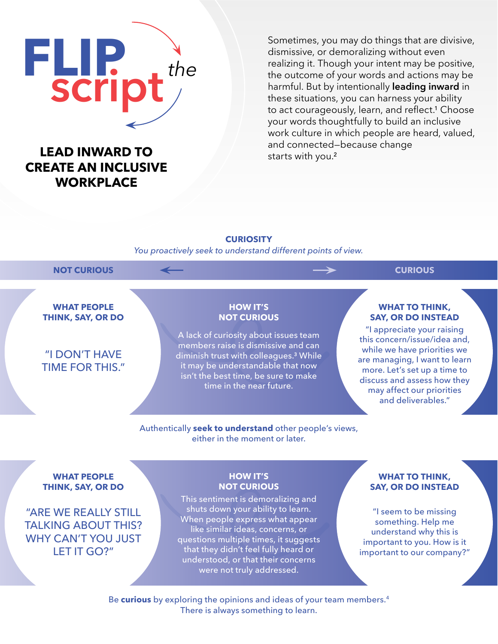# **FLIP** script*the*

# **CREATE AN INCLUSIVE WORKPLACE**

Sometimes, you may do things that are divisive, dismissive, or demoralizing without even realizing it. Though your intent may be positive, the outcome of your words and actions may be harmful. But by intentionally leading inward in these situations, you can harness your ability to act courageously, learn, and reflect.<sup>1</sup> Choose your words thoughtfully to build an inclusive work culture in which people are heard, valued, **LEAD INWARD TO** and connected–because change and connected–because change

## **CURIOSITY**

*You proactively seek to understand different points of view.*

### NOT CURIOUS **And CURIOUS CURIOUS**

**WHAT PEOPLE THINK, SAY, OR DO**

# "I DON'T HAVE TIME FOR THIS."

### **HOW IT'S NOT CURIOUS**

A lack of curiosity about issues team members raise is dismissive and can diminish trust with colleagues.<sup>3</sup> While it may be understandable that now isn't the best time, be sure to make time in the near future.

### **WHAT TO THINK, SAY, OR DO INSTEAD**

"I appreciate your raising this concern/issue/idea and, while we have priorities we are managing, I want to learn more. Let's set up a time to discuss and assess how they may affect our priorities and deliverables."

### Authentically **seek to understand** other people's views, either in the moment or later.

### **WHAT PEOPLE THINK, SAY, OR DO**

"ARE WE REALLY STILL TALKING ABOUT THIS? WHY CAN'T YOU JUST LET IT GO?"

### **HOW IT'S NOT CURIOUS**

This sentiment is demoralizing and shuts down your ability to learn. When people express what appear like similar ideas, concerns, or questions multiple times, it suggests that they didn't feel fully heard or understood, or that their concerns were not truly addressed.

### **WHAT TO THINK, SAY, OR DO INSTEAD**

"I seem to be missing something. Help me understand why this is important to you. How is it important to our company?"

Be **curious** by exploring the opinions and ideas of your team members.4 There is always something to learn.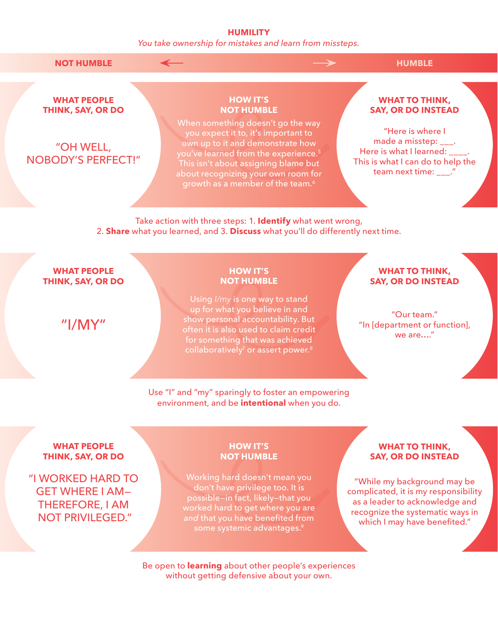### **HUMILITY**

*You take ownership for mistakes and learn from missteps.*

**NOT HUMBLE**  $\leftarrow$  **HUMBLE** 

**WHAT PEOPLE THINK, SAY, OR DO**

"OH WELL, NOBODY'S PERFECT!"

### **HOW IT'S NOT HUMBLE**

When something doesn't go the way you expect it to, it's important to own up to it and demonstrate how you've learned from the experience.<sup>5</sup> This isn't about assigning blame but about recognizing your own room for growth as a member of the team.<sup>6</sup>

### **WHAT TO THINK, SAY, OR DO INSTEAD**

"Here is where I made a misstep:  $\qquad$ . Here is what I learned: This is what I can do to help the team next time:

Take action with three steps: 1. **Identify** what went wrong, 2. **Share** what you learned, and 3. **Discuss** what you'll do differently next time.

### **WHAT PEOPLE THINK, SAY, OR DO**

"I/MY"

### **HOW IT'S NOT HUMBLE**

Using *I/my* is one way to stand up for what you believe in and show personal accountability. But often it is also used to claim credit for something that was achieved collaboratively<sup>7</sup> or assert power.<sup>8</sup>

### Use "I" and "my" sparingly to foster an empowering environment, and be **intentional** when you do.

### **WHAT TO THINK, SAY, OR DO INSTEAD**

"Our team." "In [department or function], we are…."

### **WHAT PEOPLE THINK, SAY, OR DO**

"I WORKED HARD TO GET WHERE I AM— THEREFORE, I AM NOT PRIVILEGED."

### **HOW IT'S NOT HUMBLE**

Working hard doesn't mean you don't have privilege too. It is possible—in fact, likely—that you worked hard to get where you are *and* that you have benefited from some systemic advantages.<sup>9</sup>

### **WHAT TO THINK, SAY, OR DO INSTEAD**

"While my background may be complicated, it is my responsibility as a leader to acknowledge and recognize the systematic ways in which I may have benefited."

Be open to **learning** about other people's experiences without getting defensive about your own.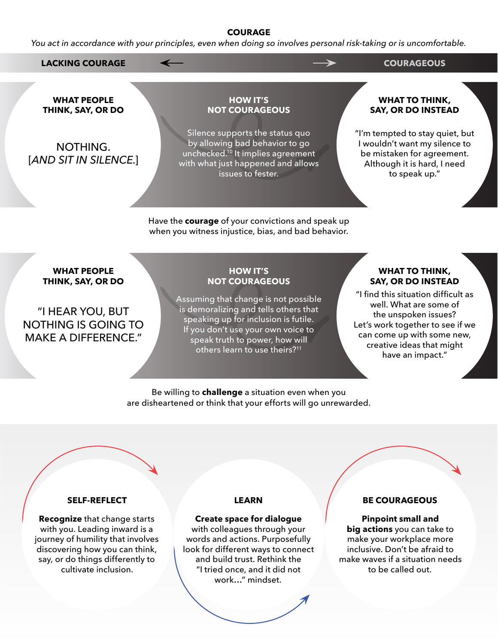### **COURAGE**

*You act in accordance with your principles, even when doing so involves personal risk-taking or is uncomfortable.*

**LACKING COURAGE COURAGEOUS**

**WHAT PEOPLE THINK, SAY, OR DO**

NOTHING. [*AND SIT IN SILENCE.*]

**HOW IT'S NOT COURAGEOUS**

Silence supports the status quo by allowing bad behavior to go unchecked.<sup>10</sup> It implies agreement with what just happened and allows issues to fester.

Have the **courage** of your convictions and speak up when you witness injustice, bias, and bad behavior.

### **WHAT TO THINK, SAY, OR DO INSTEAD**

"I'm tempted to stay quiet, but I wouldn't want my silence to be mistaken for agreement. Although it is hard, I need to speak up."

**WHAT PEOPLE THINK, SAY, OR DO**

"I HEAR YOU, BUT NOTHING IS GOING TO MAKE A DIFFERENCE."

### **HOW IT'S NOT COURAGEOUS**

Assuming that change is not possible is demoralizing and tells others that speaking up for inclusion is futile. If you don't use your own voice to speak truth to power, how will others learn to use theirs?<sup>11</sup>

### **WHAT TO THINK, SAY, OR DO INSTEAD**

"I find this situation difficult as well. What are some of the unspoken issues? Let's work together to see if we can come up with some new, creative ideas that might have an impact."

Be willing to **challenge** a situation even when you are disheartened or think that your efforts will go unrewarded.

### **SELF-REFLECT**

**Recognize** that change starts with you. Leading inward is a journey of humility that involves discovering how you can think, say, or do things differently to cultivate inclusion.

### **LEARN**

### **Create space for dialogue**

with colleagues through your words and actions. Purposefully look for different ways to connect and build trust. Rethink the "I tried once, and it did not work…" mindset.

### **BE COURAGEOUS**

**Pinpoint small and big actions** you can take to make your workplace more inclusive. Don't be afraid to make waves if a situation needs to be called out.